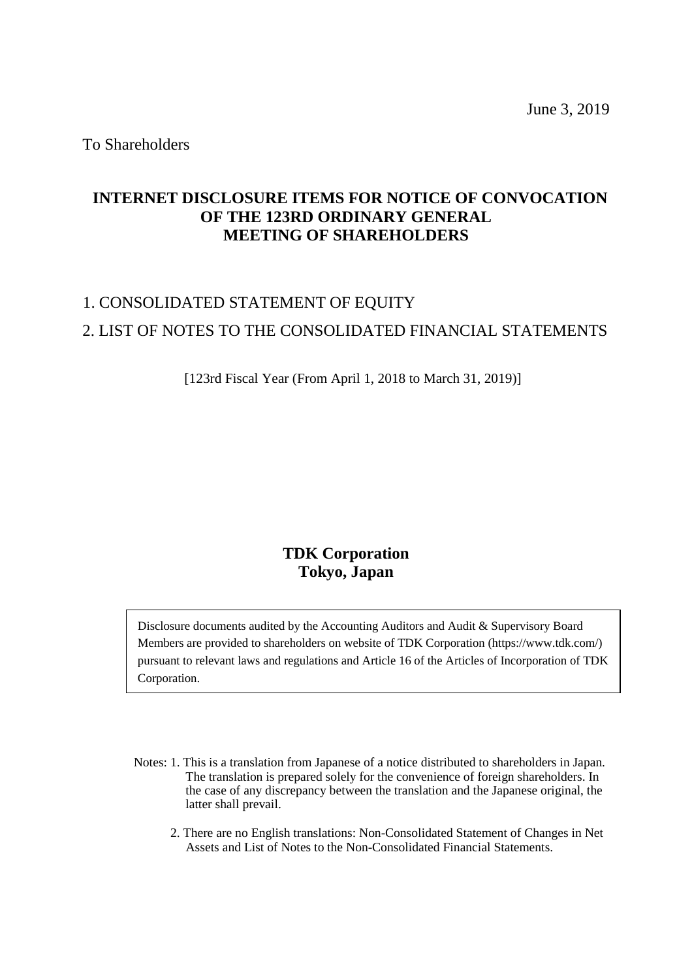To Shareholders

## **INTERNET DISCLOSURE ITEMS FOR NOTICE OF CONVOCATION OF THE 123RD ORDINARY GENERAL MEETING OF SHAREHOLDERS**

# 1. CONSOLIDATED STATEMENT OF EQUITY 2. LIST OF NOTES TO THE CONSOLIDATED FINANCIAL STATEMENTS

[123rd Fiscal Year (From April 1, 2018 to March 31, 2019)]

## **TDK Corporation Tokyo, Japan**

Disclosure documents audited by the Accounting Auditors and Audit & Supervisory Board Members are provided to shareholders on website of TDK Corporation (https://www.tdk.com/) pursuant to relevant laws and regulations and Article 16 of the Articles of Incorporation of TDK Corporation.

- Notes: 1. This is a translation from Japanese of a notice distributed to shareholders in Japan. The translation is prepared solely for the convenience of foreign shareholders. In the case of any discrepancy between the translation and the Japanese original, the latter shall prevail.
	- 2. There are no English translations: Non-Consolidated Statement of Changes in Net Assets and List of Notes to the Non-Consolidated Financial Statements.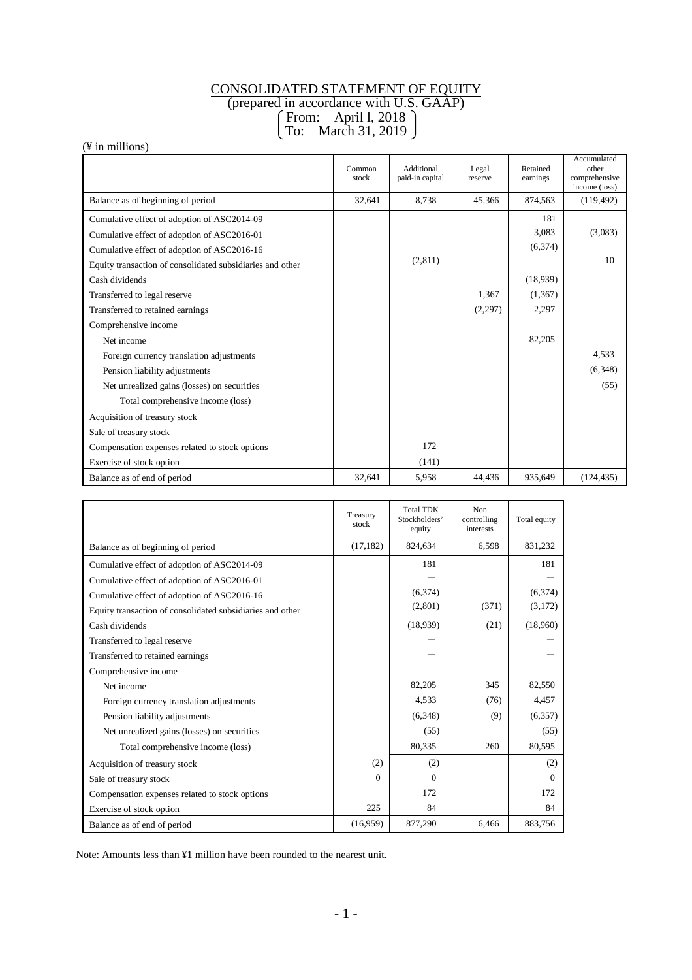## CONSOLIDATED STATEMENT OF EQUITY

(prepared in accordance with U.S. GAAP)

From: April l, 2018

## To: March 31, 2019

(¥ in millions)

|                                                           | Common<br>stock | Additional<br>paid-in capital | Legal<br>reserve | Retained<br>earnings | Accumulated<br>other<br>comprehensive<br>income (loss) |
|-----------------------------------------------------------|-----------------|-------------------------------|------------------|----------------------|--------------------------------------------------------|
| Balance as of beginning of period                         | 32,641          | 8,738                         | 45,366           | 874,563              | (119, 492)                                             |
| Cumulative effect of adoption of ASC2014-09               |                 |                               |                  | 181                  |                                                        |
| Cumulative effect of adoption of ASC2016-01               |                 |                               |                  | 3,083                | (3,083)                                                |
| Cumulative effect of adoption of ASC2016-16               |                 |                               |                  | (6, 374)             |                                                        |
| Equity transaction of consolidated subsidiaries and other |                 | (2,811)                       |                  |                      | 10                                                     |
| Cash dividends                                            |                 |                               |                  | (18,939)             |                                                        |
| Transferred to legal reserve                              |                 |                               | 1,367            | (1,367)              |                                                        |
| Transferred to retained earnings                          |                 |                               | (2,297)          | 2,297                |                                                        |
| Comprehensive income                                      |                 |                               |                  |                      |                                                        |
| Net income                                                |                 |                               |                  | 82,205               |                                                        |
| Foreign currency translation adjustments                  |                 |                               |                  |                      | 4,533                                                  |
| Pension liability adjustments                             |                 |                               |                  |                      | (6,348)                                                |
| Net unrealized gains (losses) on securities               |                 |                               |                  |                      | (55)                                                   |
| Total comprehensive income (loss)                         |                 |                               |                  |                      |                                                        |
| Acquisition of treasury stock                             |                 |                               |                  |                      |                                                        |
| Sale of treasury stock                                    |                 |                               |                  |                      |                                                        |
| Compensation expenses related to stock options            |                 | 172                           |                  |                      |                                                        |
| Exercise of stock option                                  |                 | (141)                         |                  |                      |                                                        |
| Balance as of end of period                               | 32,641          | 5,958                         | 44.436           | 935.649              | (124.435)                                              |

|                                                           | Treasury<br>stock | <b>Total TDK</b><br>Stockholders'<br>equity | Non<br>controlling<br>interests | Total equity |
|-----------------------------------------------------------|-------------------|---------------------------------------------|---------------------------------|--------------|
| Balance as of beginning of period                         | (17, 182)         | 824,634                                     | 6,598                           | 831,232      |
| Cumulative effect of adoption of ASC2014-09               |                   | 181                                         |                                 | 181          |
| Cumulative effect of adoption of ASC2016-01               |                   |                                             |                                 |              |
| Cumulative effect of adoption of ASC2016-16               |                   | (6,374)                                     |                                 | (6,374)      |
| Equity transaction of consolidated subsidiaries and other |                   | (2,801)                                     | (371)                           | (3,172)      |
| Cash dividends                                            |                   | (18,939)                                    | (21)                            | (18,960)     |
| Transferred to legal reserve                              |                   |                                             |                                 |              |
| Transferred to retained earnings                          |                   |                                             |                                 |              |
| Comprehensive income                                      |                   |                                             |                                 |              |
| Net income                                                |                   | 82,205                                      | 345                             | 82,550       |
| Foreign currency translation adjustments                  |                   | 4,533                                       | (76)                            | 4,457        |
| Pension liability adjustments                             |                   | (6,348)                                     | (9)                             | (6, 357)     |
| Net unrealized gains (losses) on securities               |                   | (55)                                        |                                 | (55)         |
| Total comprehensive income (loss)                         |                   | 80,335                                      | 260                             | 80,595       |
| Acquisition of treasury stock                             | (2)               | (2)                                         |                                 | (2)          |
| Sale of treasury stock                                    | $\Omega$          | $\Omega$                                    |                                 | $\Omega$     |
| Compensation expenses related to stock options            |                   | 172                                         |                                 | 172          |
| Exercise of stock option                                  | 225               | 84                                          |                                 | 84           |
| Balance as of end of period                               | (16,959)          | 877,290                                     | 6,466                           | 883,756      |

Note: Amounts less than ¥1 million have been rounded to the nearest unit.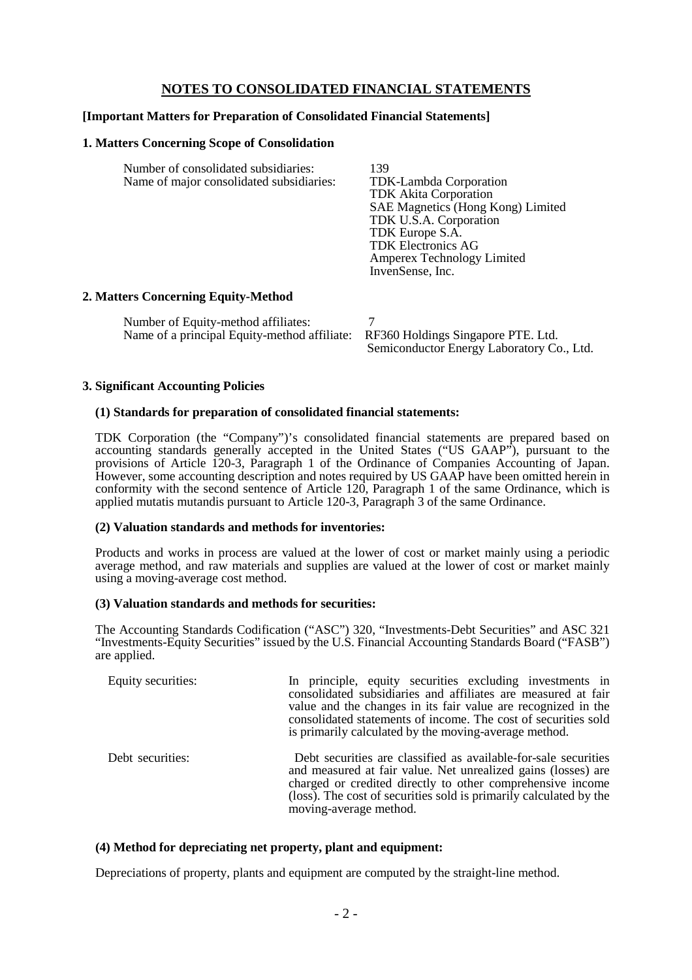## **NOTES TO CONSOLIDATED FINANCIAL STATEMENTS**

### **[Important Matters for Preparation of Consolidated Financial Statements]**

#### **1. Matters Concerning Scope of Consolidation**

| Number of consolidated subsidiaries:<br>Name of major consolidated subsidiaries: | 139<br>TDK-Lambda Corporation<br><b>TDK</b> Akita Corporation<br>SAE Magnetics (Hong Kong) Limited<br>TDK U.S.A. Corporation<br>TDK Europe S.A.<br><b>TDK Electronics AG</b><br>Amperex Technology Limited<br>InvenSense, Inc. |
|----------------------------------------------------------------------------------|--------------------------------------------------------------------------------------------------------------------------------------------------------------------------------------------------------------------------------|
| $\sim$<br>T.                                                                     |                                                                                                                                                                                                                                |

#### **2. Matters Concerning Equity-Method**

| Number of Equity-method affiliates:                                             |                                           |
|---------------------------------------------------------------------------------|-------------------------------------------|
| Name of a principal Equity-method affiliate: RF360 Holdings Singapore PTE. Ltd. |                                           |
|                                                                                 | Semiconductor Energy Laboratory Co., Ltd. |

#### **3. Significant Accounting Policies**

#### **(1) Standards for preparation of consolidated financial statements:**

TDK Corporation (the "Company")'s consolidated financial statements are prepared based on accounting standards generally accepted in the United States ("US GAAP"), pursuant to the provisions of Article 120-3, Paragraph 1 of the Ordinance of Companies Accounting of Japan. However, some accounting description and notes required by US GAAP have been omitted herein in conformity with the second sentence of Article 120, Paragraph 1 of the same Ordinance, which is applied mutatis mutandis pursuant to Article 120-3, Paragraph 3 of the same Ordinance.

#### **(2) Valuation standards and methods for inventories:**

Products and works in process are valued at the lower of cost or market mainly using a periodic average method, and raw materials and supplies are valued at the lower of cost or market mainly using a moving-average cost method.

#### **(3) Valuation standards and methods for securities:**

The Accounting Standards Codification ("ASC") 320, "Investments-Debt Securities" and ASC 321 "Investments-Equity Securities" issued by the U.S. Financial Accounting Standards Board ("FASB") are applied.

| Equity securities: | In principle, equity securities excluding investments in<br>consolidated subsidiaries and affiliates are measured at fair<br>value and the changes in its fair value are recognized in the<br>consolidated statements of income. The cost of securities sold<br>is primarily calculated by the moving-average method. |
|--------------------|-----------------------------------------------------------------------------------------------------------------------------------------------------------------------------------------------------------------------------------------------------------------------------------------------------------------------|
| Debt securities:   | Debt securities are classified as available-for-sale securities<br>and measured at fair value. Net unrealized gains (losses) are<br>charged or credited directly to other comprehensive income<br>(loss). The cost of securities sold is primarily calculated by the<br>moving-average method.                        |

#### **(4) Method for depreciating net property, plant and equipment:**

Depreciations of property, plants and equipment are computed by the straight-line method.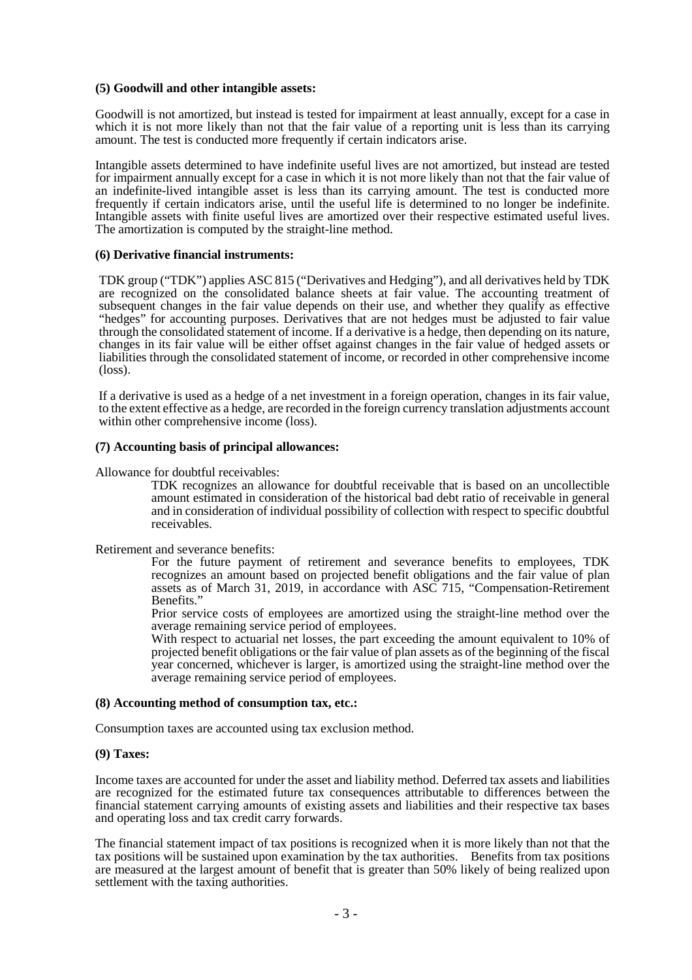#### **(5) Goodwill and other intangible assets:**

Goodwill is not amortized, but instead is tested for impairment at least annually, except for a case in which it is not more likely than not that the fair value of a reporting unit is less than its carrying amount. The test is conducted more frequently if certain indicators arise.

Intangible assets determined to have indefinite useful lives are not amortized, but instead are tested for impairment annually except for a case in which it is not more likely than not that the fair value of an indefinite-lived intangible asset is less than its carrying amount. The test is conducted more frequently if certain indicators arise, until the useful life is determined to no longer be indefinite. Intangible assets with finite useful lives are amortized over their respective estimated useful lives. The amortization is computed by the straight-line method.

#### **(6) Derivative financial instruments:**

TDK group ("TDK") applies ASC 815 ("Derivatives and Hedging"), and all derivatives held by TDK are recognized on the consolidated balance sheets at fair value. The accounting treatment of subsequent changes in the fair value depends on their use, and whether they qualify as effective "hedges" for accounting purposes. Derivatives that are not hedges must be adjusted to fair value through the consolidated statement of income. If a derivative is a hedge, then depending on its nature, changes in its fair value will be either offset against changes in the fair value of hedged assets or liabilities through the consolidated statement of income, or recorded in other comprehensive income (loss).

If a derivative is used as a hedge of a net investment in a foreign operation, changes in its fair value, to the extent effective as a hedge, are recorded in the foreign currency translation adjustments account within other comprehensive income (loss).

#### **(7) Accounting basis of principal allowances:**

Allowance for doubtful receivables:

TDK recognizes an allowance for doubtful receivable that is based on an uncollectible amount estimated in consideration of the historical bad debt ratio of receivable in general and in consideration of individual possibility of collection with respect to specific doubtful receivables.

Retirement and severance benefits:

For the future payment of retirement and severance benefits to employees, TDK recognizes an amount based on projected benefit obligations and the fair value of plan assets as of March 31, 2019, in accordance with ASC 715, "Compensation-Retirement Benefits.'

Prior service costs of employees are amortized using the straight-line method over the average remaining service period of employees.

With respect to actuarial net losses, the part exceeding the amount equivalent to 10% of projected benefit obligations or the fair value of plan assets as of the beginning of the fiscal year concerned, whichever is larger, is amortized using the straight-line method over the average remaining service period of employees.

#### **(8) Accounting method of consumption tax, etc.:**

Consumption taxes are accounted using tax exclusion method.

#### **(9) Taxes:**

Income taxes are accounted for under the asset and liability method. Deferred tax assets and liabilities are recognized for the estimated future tax consequences attributable to differences between the financial statement carrying amounts of existing assets and liabilities and their respective tax bases and operating loss and tax credit carry forwards.

The financial statement impact of tax positions is recognized when it is more likely than not that the tax positions will be sustained upon examination by the tax authorities. Benefits from tax positions are measured at the largest amount of benefit that is greater than 50% likely of being realized upon settlement with the taxing authorities.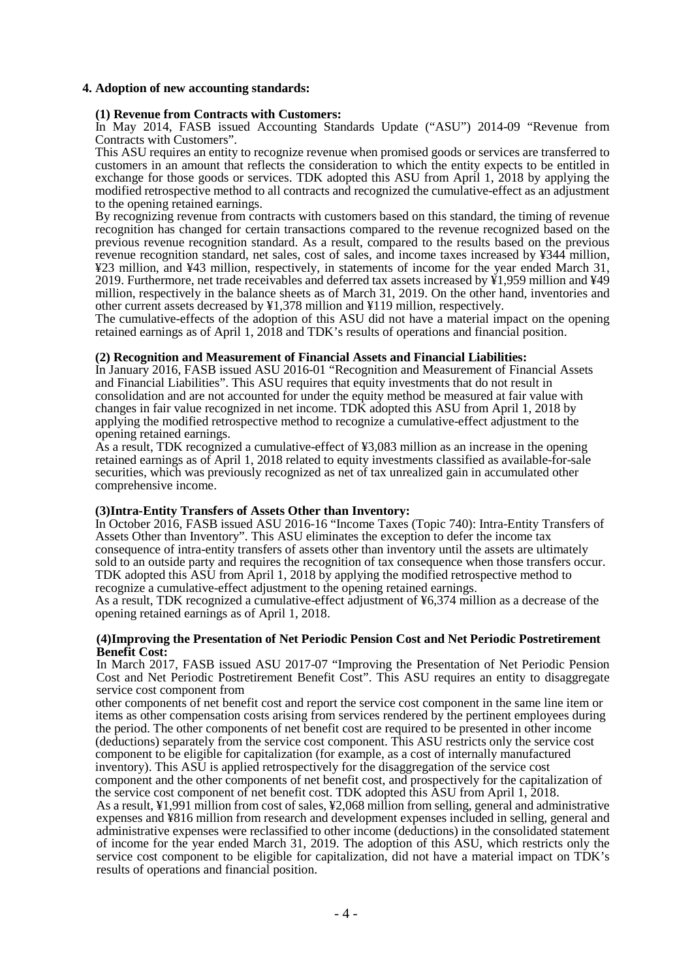### **4. Adoption of new accounting standards:**

#### **(1) Revenue from Contracts with Customers:**

In May 2014, FASB issued Accounting Standards Update ("ASU") 2014-09 "Revenue from Contracts with Customers".

This ASU requires an entity to recognize revenue when promised goods or services are transferred to customers in an amount that reflects the consideration to which the entity expects to be entitled in exchange for those goods or services. TDK adopted this ASU from April 1, 2018 by applying the modified retrospective method to all contracts and recognized the cumulative-effect as an adjustment to the opening retained earnings.

By recognizing revenue from contracts with customers based on this standard, the timing of revenue recognition has changed for certain transactions compared to the revenue recognized based on the previous revenue recognition standard. As a result, compared to the results based on the previous revenue recognition standard, net sales, cost of sales, and income taxes increased by ¥344 million, ¥23 million, and ¥43 million, respectively, in statements of income for the year ended March 31, 2019. Furthermore, net trade receivables and deferred tax assets increased by ¥1,959 million and ¥49 million, respectively in the balance sheets as of March 31, 2019. On the other hand, inventories and other current assets decreased by ¥1,378 million and ¥119 million, respectively.

The cumulative-effects of the adoption of this ASU did not have a material impact on the opening retained earnings as of April 1, 2018 and TDK's results of operations and financial position.

#### **(2) Recognition and Measurement of Financial Assets and Financial Liabilities:**

In January 2016, FASB issued ASU 2016-01 "Recognition and Measurement of Financial Assets and Financial Liabilities". This ASU requires that equity investments that do not result in consolidation and are not accounted for under the equity method be measured at fair value with changes in fair value recognized in net income. TDK adopted this ASU from April 1, 2018 by applying the modified retrospective method to recognize a cumulative-effect adjustment to the opening retained earnings.

As a result, TDK recognized a cumulative-effect of ¥3,083 million as an increase in the opening retained earnings as of April 1, 2018 related to equity investments classified as available-for-sale securities, which was previously recognized as net of tax unrealized gain in accumulated other comprehensive income.

#### **(3)Intra-Entity Transfers of Assets Other than Inventory:**

In October 2016, FASB issued ASU 2016-16 "Income Taxes (Topic 740): Intra-Entity Transfers of Assets Other than Inventory". This ASU eliminates the exception to defer the income tax consequence of intra-entity transfers of assets other than inventory until the assets are ultimately sold to an outside party and requires the recognition of tax consequence when those transfers occur. TDK adopted this ASU from April 1, 2018 by applying the modified retrospective method to recognize a cumulative-effect adjustment to the opening retained earnings.

As a result, TDK recognized a cumulative-effect adjustment of ¥6,374 million as a decrease of the opening retained earnings as of April 1, 2018.

#### **(4)Improving the Presentation of Net Periodic Pension Cost and Net Periodic Postretirement Benefit Cost:**

In March 2017, FASB issued ASU 2017-07 "Improving the Presentation of Net Periodic Pension Cost and Net Periodic Postretirement Benefit Cost". This ASU requires an entity to disaggregate service cost component from

other components of net benefit cost and report the service cost component in the same line item or items as other compensation costs arising from services rendered by the pertinent employees during the period. The other components of net benefit cost are required to be presented in other income (deductions) separately from the service cost component. This ASU restricts only the service cost component to be eligible for capitalization (for example, as a cost of internally manufactured inventory). This ASU is applied retrospectively for the disaggregation of the service cost component and the other components of net benefit cost, and prospectively for the capitalization of the service cost component of net benefit cost. TDK adopted this ASU from April 1, 2018.

As a result, ¥1,991 million from cost of sales, ¥2,068 million from selling, general and administrative expenses and ¥816 million from research and development expenses included in selling, general and administrative expenses were reclassified to other income (deductions) in the consolidated statement of income for the year ended March 31, 2019. The adoption of this ASU, which restricts only the service cost component to be eligible for capitalization, did not have a material impact on TDK's results of operations and financial position.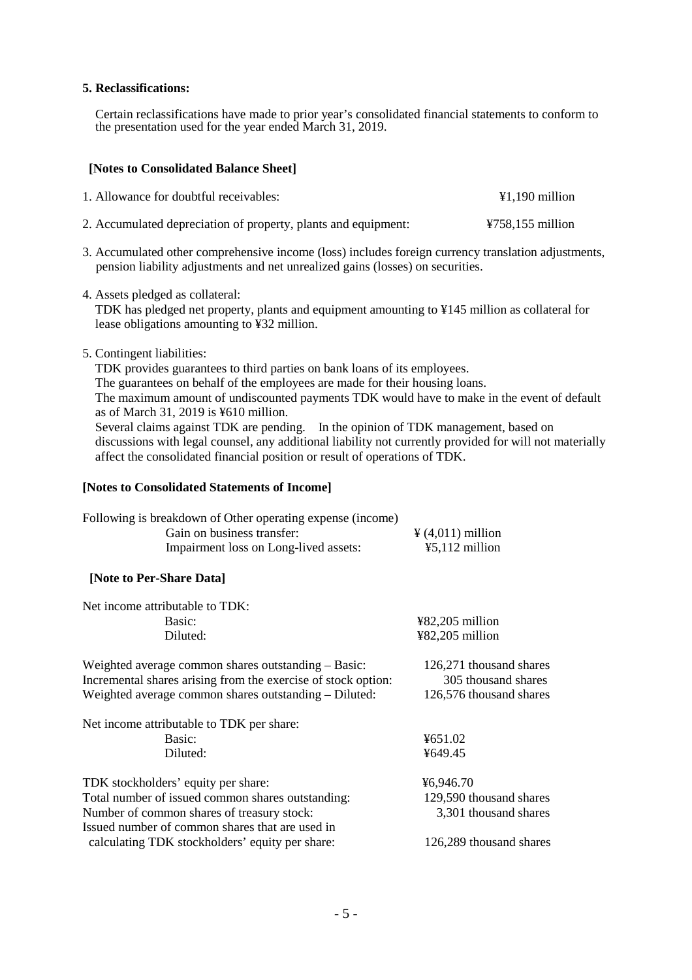### **5. Reclassifications:**

Certain reclassifications have made to prior year's consolidated financial statements to conform to the presentation used for the year ended March 31, 2019.

### **[Notes to Consolidated Balance Sheet]**

| 1. Allowance for doubtful receivables:                         | $\text{\textsterling}1.190$ million   |
|----------------------------------------------------------------|---------------------------------------|
| 2. Accumulated depreciation of property, plants and equipment: | $\text{\textsterling}758,155$ million |

- 3. Accumulated other comprehensive income (loss) includes foreign currency translation adjustments, pension liability adjustments and net unrealized gains (losses) on securities.
- 4. Assets pledged as collateral:

TDK has pledged net property, plants and equipment amounting to ¥145 million as collateral for lease obligations amounting to ¥32 million.

5. Contingent liabilities:

TDK provides guarantees to third parties on bank loans of its employees.

The guarantees on behalf of the employees are made for their housing loans.

The maximum amount of undiscounted payments TDK would have to make in the event of default as of March 31, 2019 is ¥610 million.

Several claims against TDK are pending. In the opinion of TDK management, based on discussions with legal counsel, any additional liability not currently provided for will not materially affect the consolidated financial position or result of operations of TDK.

### **[Notes to Consolidated Statements of Income]**

| Following is breakdown of Other operating expense (income) |                                     |
|------------------------------------------------------------|-------------------------------------|
| Gain on business transfer:                                 | $\frac{1}{2}(4,011)$ million        |
| Impairment loss on Long-lived assets:                      | $\text{\textsterling}5,112$ million |

## **[Note to Per-Share Data]**

| Net income attributable to TDK:                                                                                                                                               |                                                                           |
|-------------------------------------------------------------------------------------------------------------------------------------------------------------------------------|---------------------------------------------------------------------------|
| Basic:                                                                                                                                                                        | $482,205$ million                                                         |
| Diluted:                                                                                                                                                                      | $482,205$ million                                                         |
| Weighted average common shares outstanding – Basic:<br>Incremental shares arising from the exercise of stock option:<br>Weighted average common shares outstanding – Diluted: | 126,271 thousand shares<br>305 thousand shares<br>126,576 thousand shares |
| Net income attributable to TDK per share:                                                                                                                                     |                                                                           |
| Basic:                                                                                                                                                                        | ¥651.02                                                                   |
| Diluted:                                                                                                                                                                      | ¥649.45                                                                   |
| TDK stockholders' equity per share:                                                                                                                                           | ¥6,946.70                                                                 |
| Total number of issued common shares outstanding:                                                                                                                             | 129,590 thousand shares                                                   |
| Number of common shares of treasury stock:                                                                                                                                    | 3,301 thousand shares                                                     |
| Issued number of common shares that are used in                                                                                                                               |                                                                           |
| calculating TDK stockholders' equity per share:                                                                                                                               | 126,289 thousand shares                                                   |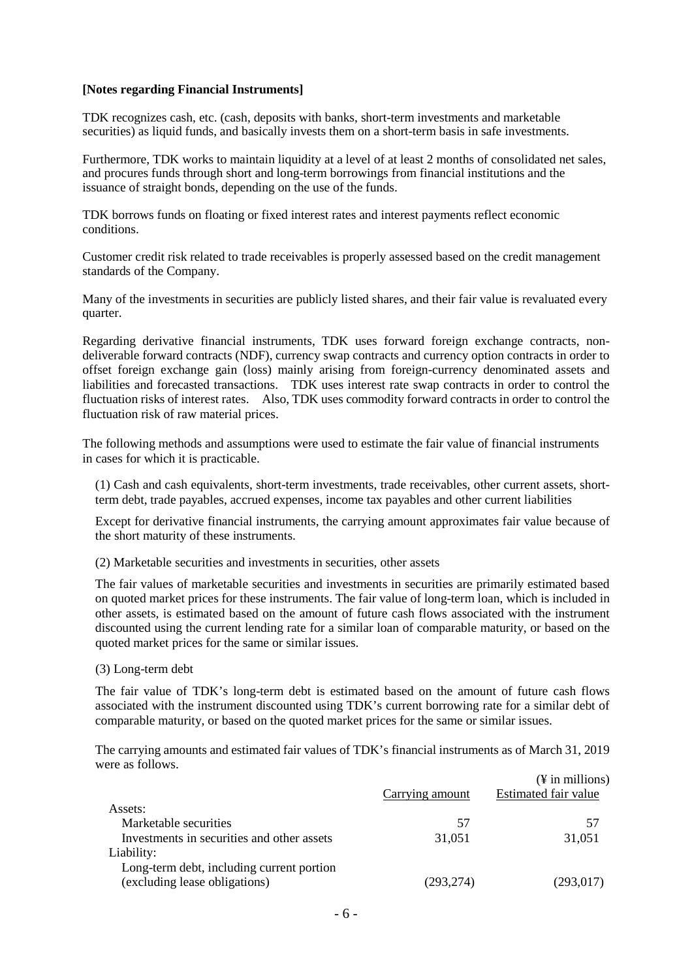#### **[Notes regarding Financial Instruments]**

TDK recognizes cash, etc. (cash, deposits with banks, short-term investments and marketable securities) as liquid funds, and basically invests them on a short-term basis in safe investments.

Furthermore, TDK works to maintain liquidity at a level of at least 2 months of consolidated net sales, and procures funds through short and long-term borrowings from financial institutions and the issuance of straight bonds, depending on the use of the funds.

TDK borrows funds on floating or fixed interest rates and interest payments reflect economic conditions.

Customer credit risk related to trade receivables is properly assessed based on the credit management standards of the Company.

Many of the investments in securities are publicly listed shares, and their fair value is revaluated every quarter.

Regarding derivative financial instruments, TDK uses forward foreign exchange contracts, nondeliverable forward contracts (NDF), currency swap contracts and currency option contracts in order to offset foreign exchange gain (loss) mainly arising from foreign-currency denominated assets and liabilities and forecasted transactions. TDK uses interest rate swap contracts in order to control the fluctuation risks of interest rates. Also, TDK uses commodity forward contracts in order to control the fluctuation risk of raw material prices.

The following methods and assumptions were used to estimate the fair value of financial instruments in cases for which it is practicable.

(1) Cash and cash equivalents, short-term investments, trade receivables, other current assets, shortterm debt, trade payables, accrued expenses, income tax payables and other current liabilities

Except for derivative financial instruments, the carrying amount approximates fair value because of the short maturity of these instruments.

(2) Marketable securities and investments in securities, other assets

The fair values of marketable securities and investments in securities are primarily estimated based on quoted market prices for these instruments. The fair value of long-term loan, which is included in other assets, is estimated based on the amount of future cash flows associated with the instrument discounted using the current lending rate for a similar loan of comparable maturity, or based on the quoted market prices for the same or similar issues.

(3) Long-term debt

The fair value of TDK's long-term debt is estimated based on the amount of future cash flows associated with the instrument discounted using TDK's current borrowing rate for a similar debt of comparable maturity, or based on the quoted market prices for the same or similar issues.

The carrying amounts and estimated fair values of TDK's financial instruments as of March 31, 2019 were as follows.

|                                            |                 | $(\frac{1}{2}$ in millions) |
|--------------------------------------------|-----------------|-----------------------------|
|                                            | Carrying amount | Estimated fair value        |
| Assets:                                    |                 |                             |
| Marketable securities                      | 57              | 57                          |
| Investments in securities and other assets | 31.051          | 31,051                      |
| Liability:                                 |                 |                             |
| Long-term debt, including current portion  |                 |                             |
| (excluding lease obligations)              | (293,274)       | (293, 017)                  |
|                                            |                 |                             |